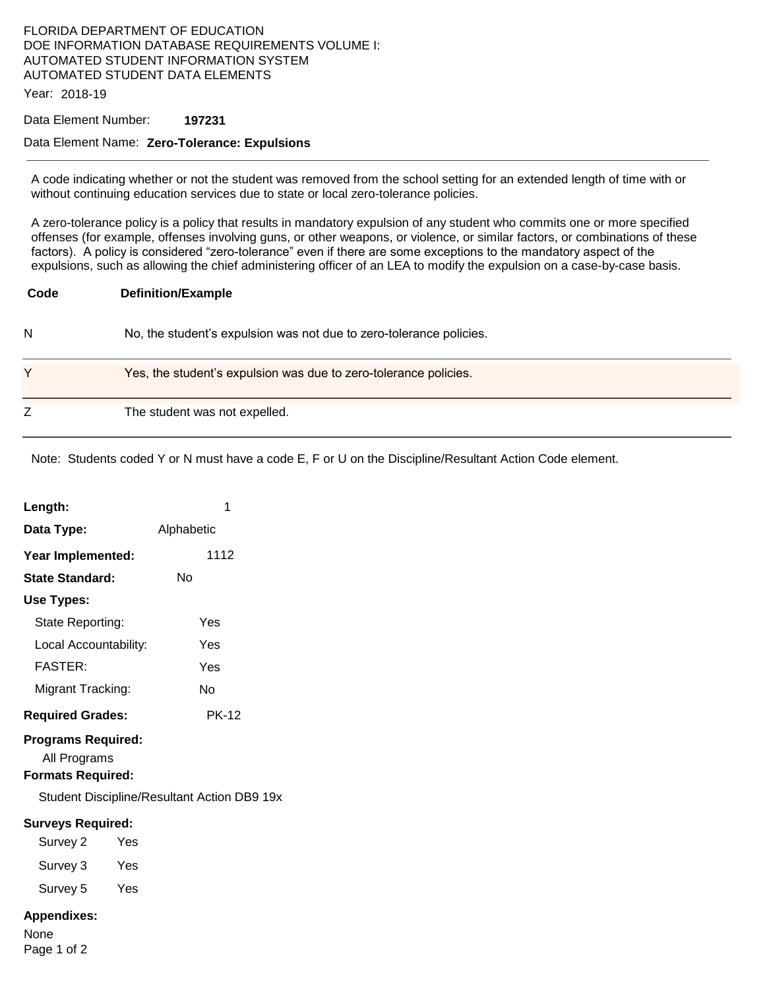## FLORIDA DEPARTMENT OF EDUCATION DOE INFORMATION DATABASE REQUIREMENTS VOLUME I: AUTOMATED STUDENT INFORMATION SYSTEM AUTOMATED STUDENT DATA ELEMENTS

Year: 2018-19

## Data Element Number: **197231**

## Data Element Name: **Zero-Tolerance: Expulsions**

A code indicating whether or not the student was removed from the school setting for an extended length of time with or without continuing education services due to state or local zero-tolerance policies.

A zero-tolerance policy is a policy that results in mandatory expulsion of any student who commits one or more specified offenses (for example, offenses involving guns, or other weapons, or violence, or similar factors, or combinations of these factors). A policy is considered "zero-tolerance" even if there are some exceptions to the mandatory aspect of the expulsions, such as allowing the chief administering officer of an LEA to modify the expulsion on a case-by-case basis.

| <b>Definition/Example</b> |
|---------------------------|
|                           |

N No, the student's expulsion was not due to zero-tolerance policies.

| v | Yes, the student's expulsion was due to zero-tolerance policies. |
|---|------------------------------------------------------------------|
| ∸ | The student was not expelled.                                    |

Note: Students coded Y or N must have a code E, F or U on the Discipline/Resultant Action Code element.

| Length:                                                               | 1            |  |  |
|-----------------------------------------------------------------------|--------------|--|--|
| Data Type:                                                            | Alphabetic   |  |  |
| Year Implemented:                                                     | 1112         |  |  |
| State Standard:                                                       | No           |  |  |
| Use Types:                                                            |              |  |  |
| State Reporting:                                                      | Yes          |  |  |
| Local Accountability:                                                 | Yes          |  |  |
| <b>FASTER:</b>                                                        | Yes          |  |  |
| Migrant Tracking:                                                     | No           |  |  |
| <b>Required Grades:</b>                                               | <b>PK-12</b> |  |  |
| <b>Programs Required:</b><br>All Programs<br><b>Formats Required:</b> |              |  |  |
| Student Discipline/Resultant Action DB9 19x                           |              |  |  |
| <b>Surveys Required:</b>                                              |              |  |  |
| Survey 2<br>Yes                                                       |              |  |  |
| Survey 3<br>Yes                                                       |              |  |  |
| Survey 5<br>Yes                                                       |              |  |  |
| <b>Appendixes:</b>                                                    |              |  |  |

None Page 1 of 2